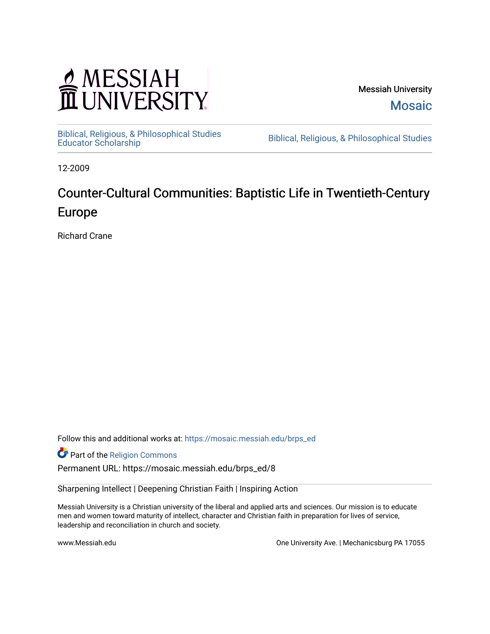## MESSIAH

Messiah University [Mosaic](https://mosaic.messiah.edu/) 

[Biblical, Religious, & Philosophical Studies](https://mosaic.messiah.edu/brps_ed) 

Biblical, Religious, & Philosophical Studies

12-2009

## Counter-Cultural Communities: Baptistic Life in Twentieth-Century Europe

Richard Crane

Follow this and additional works at: [https://mosaic.messiah.edu/brps\\_ed](https://mosaic.messiah.edu/brps_ed?utm_source=mosaic.messiah.edu%2Fbrps_ed%2F8&utm_medium=PDF&utm_campaign=PDFCoverPages) 

Part of the [Religion Commons](http://network.bepress.com/hgg/discipline/538?utm_source=mosaic.messiah.edu%2Fbrps_ed%2F8&utm_medium=PDF&utm_campaign=PDFCoverPages)

Permanent URL: https://mosaic.messiah.edu/brps\_ed/8

Sharpening Intellect | Deepening Christian Faith | Inspiring Action

Messiah University is a Christian university of the liberal and applied arts and sciences. Our mission is to educate men and women toward maturity of intellect, character and Christian faith in preparation for lives of service, leadership and reconciliation in church and society.

www.Messiah.edu **One University Ave. | Mechanicsburg PA 17055**